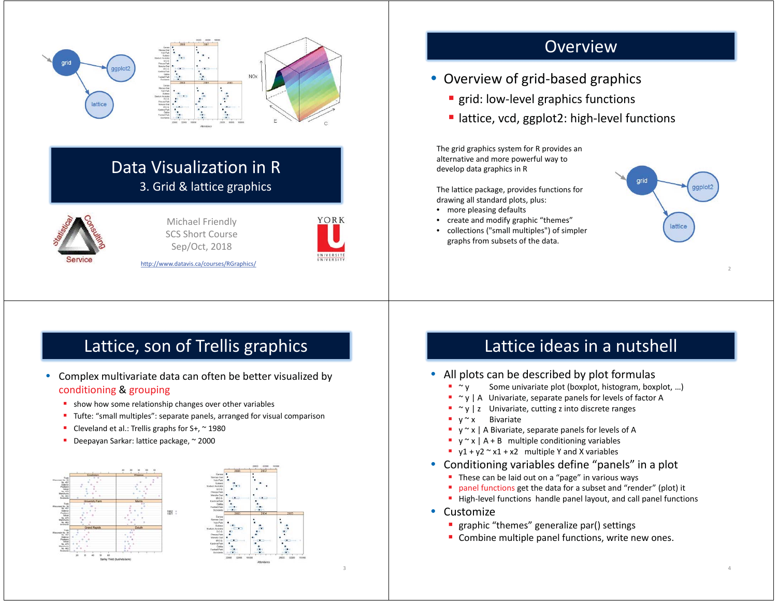

## Data Visualization in R 3. Grid & lattice graphics



Michael Friendly SCS Short Course Sep/Oct, 2018



3

http://www.datavis.ca/courses/RGraphics/

### Overview

- Overview of grid-based graphics
	- **grid: low-level graphics functions**
	- lattice, vcd, ggplot2: high-level functions

The grid graphics system for R provides an alternative and more powerful way to develop data graphics in R

The lattice package, provides functions for drawing all standard plots, plus:

- more pleasing defaults
- create and modify graphic "themes"
- collections ("small multiples") of simpler graphs from subsets of the data.



2

4

# Lattice, son of Trellis graphics

- • Complex multivariate data can often be better visualized by conditioning & grouping
	- **show how some relationship changes over other variables**
	- Tufte: "small multiples": separate panels, arranged for visual comparison
	- г Cleveland et al.: Trellis graphs for  $S_{+}$ ,  $\sim$  1980
	- н Deepayan Sarkar: lattice package, ~ 2000



## Lattice ideas in a nutshell

### • All plots can be described by plot formulas

- $\gamma$  Some univariate plot (boxplot, histogram, boxplot, ...)
- $\bullet$   $\sim$  y | A Univariate, separate panels for levels of factor A
- $\gamma$  | z Univariate, cutting z into discrete ranges
- $\bullet$  v  $\sim$  x **Bivariate**
- $\bullet$  y  $\sim$  x | A Bivariate, separate panels for levels of A
- $\bullet$  y  $\sim$  x | A + B multiple conditioning variables
- $\blacksquare$  y1 + y2  $\sim$  x1 + x2 multiple Y and X variables
- $\bullet$  Conditioning variables define "panels" in a plot
	- **These can be laid out on a "page" in various ways**
	- panel functions get the data for a subset and "render" (plot) it
	- $\blacksquare$  High-level functions handle panel layout, and call panel functions
- Customize
	- **graphic "themes" generalize par() settings**
	- **Combine multiple panel functions, write new ones.**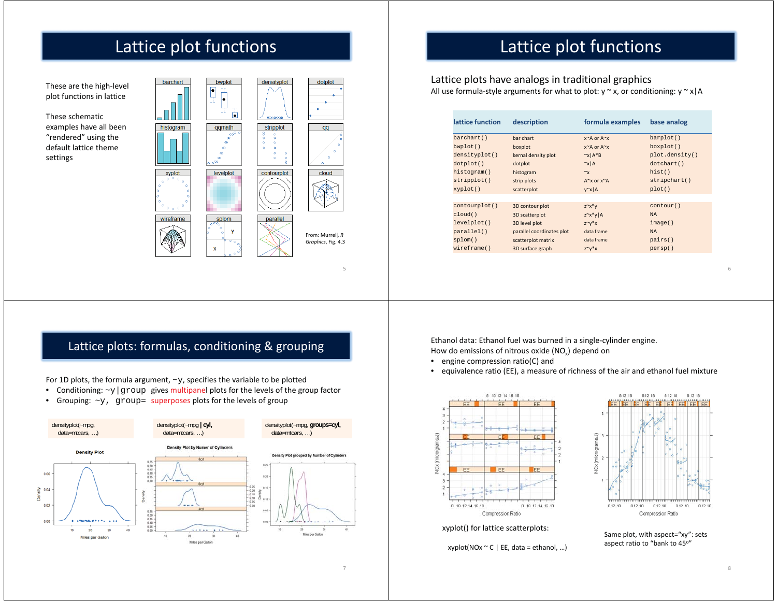# Lattice plot functions

These are the high-level plot functions in lattice

These schematic examples have all been "rendered" using the default lattice theme settings





5

# Lattice plot functions

Lattice plots have analogs in traditional graphics All use formula-style arguments for what to plot:  $y \sim x$ , or conditioning:  $y \sim x/A$ 

| lattice function | description               | formula examples            | base analog    |
|------------------|---------------------------|-----------------------------|----------------|
| barchart()       | bar chart                 | $x^A$ or $A^x$              | barplot()      |
| bwplot()         | boxplot                   | x~A or A~x                  | boxplot()      |
| densityplot()    | kernal density plot       | $\alpha x$   A*B            | plot.density() |
| dot()            | dotplot                   | $\sim$ x A                  | dotchart()     |
| histogram()      | histogram                 | $\sim_{\mathsf{X}}$         | hist()         |
| stripplot()      | strip plots               | $A^{\sim}$ x or $x^{\sim}A$ | stripchart()   |
| xyplot()         | scatterplot               | $y^x \times  A $            | plot()         |
|                  |                           |                             |                |
| contourplot()    | 3D contour plot           | $Z^{\sim}X^*V$              | contour()      |
| cloud()          | 3D scatterplot            | $z^{\sim}x^*y$  A           | <b>NA</b>      |
| levelplot()      | 3D level plot             | $Z^{\sim}V^*X$              | image()        |
| parallel()       | parallel coordinates plot | data frame                  | <b>NA</b>      |
| splom()          | scatterplot matrix        | data frame                  | pairs()        |
| wireframe()      | 3D surface graph          | $Z^{\sim}V^*X$              | persp()        |
|                  |                           |                             |                |

### Lattice plots: formulas, conditioning & grouping

For 1D plots, the formula argument,  $\sim$ y, specifies the variable to be plotted

- •Conditioning:  $-y$  | group gives multipanel plots for the levels of the group factor
- •Grouping:  $-y$ , group= superposes plots for the levels of group



Ethanol data: Ethanol fuel was burned in a single-cylinder engine. How do emissions of nitrous oxide  $(NO<sub>x</sub>)$  depend on

- engine compression ratio(C) and
- equivalence ratio (EE), a measure of richness of the air and ethanol fuel mixture



xyplot() for lattice scatterplots:

 $xyplot(NOx °C | EE, data = ethanol, ...)$ 



Same plot, with aspect="xy": sets aspect ratio to "bank to 45°"

7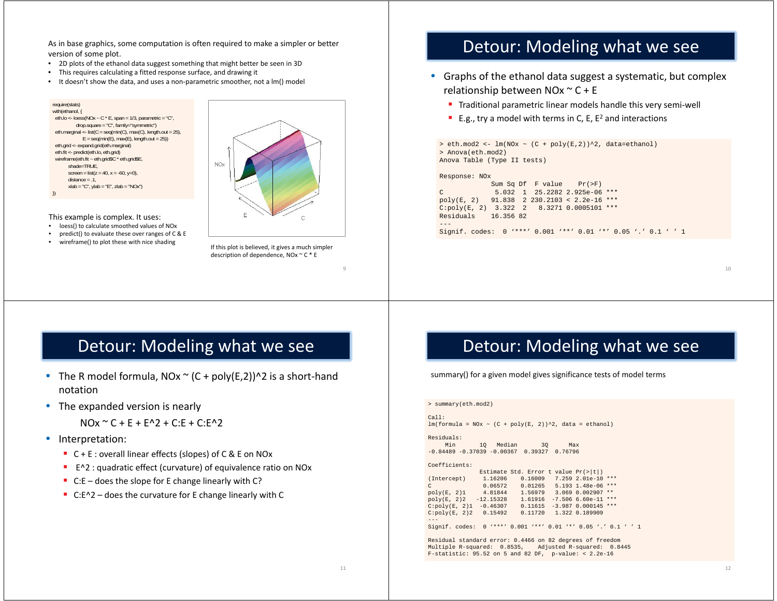As in base graphics, some computation is often required to make a simpler or better version of some plot.

- 2D plots of the ethanol data suggest something that might better be seen in 3D
- This requires calculating a fitted response surface, and drawing it
- It doesn't show the data, and uses a non-parametric smoother, not a lm() model

```
require(stats)
with(ethanol, {
 eth.lo <- loess(NOx ~ C * E, span = 1/3, parametric = "C",
             drop.square ="C", family="symmetric")
 eth.marginal <- list(C = \text{seq}(\text{min}(C), \text{max}(C), \text{length.out} = 25),
               E = \text{seq}(\text{min}(E), \text{max}(E), \text{length.out} = 25)eth.grid <- expand.grid(eth.marginal)
 eth.fit <- predict(eth.lo, eth.grid)
 wireframe(eth.fit ~ eth.grid$C * eth.grid$E,
         shade=TRUE,
        screen = list(z = 40, x = -60, y=0),
         distance = .1,
        xlab = "C", ylab = "E", zlab = "NOx")
})
```
This example is complex. It uses:

- loess() to calculate smoothed values of NOx
- predict() to evaluate these over ranges of C & E
- wireframe() to plot these with nice shading



If this plot is believed, it gives a much simpler description of dependence, NOx ~ C \* E

## Detour: Modeling what we see

- Graphs of the ethanol data suggest a systematic, but complex relationship between NOx  $\sim$  C + E
	- **Traditional parametric linear models handle this very semi-well**
	- E.g., try a model with terms in C, E,  $E^2$  and interactions

```
> eth.mod2 <- lm(NOx ~ (C + poly(E,2))^2, data=ethanol)
> Anova(eth.mod2)
Anova Table (Type II tests)
Response: NOx
             Sum Sq Df F value Pr(>F) 
C 5.032 1 25.2282 2.925e-06 ***poly(E, 2) 91.838 2 230.2103 < 2.2e-16 ***
C:poly(E, 2) 3.322 2 8.3271 0.0005101 ***
Residuals 16.356 82
```
Signif. codes: 0 '\*\*\*' 0.001 '\*\*' 0.01 '\*' 0.05 '.' 0.1 ' ' 1

10

### Detour: Modeling what we see

- The R model formula, NOx  $\sim$  (C + poly(E,2)) $\sim$ 2 is a short-hand notation
- The expanded version is nearly

```
NQx \approx C + F + F^2 + C: F + C: F^2
```
- Interpretation:
	- $\blacksquare$  C + E : overall linear effects (slopes) of C & E on NOx
	- E^2 : quadratic effect (curvature) of equivalence ratio on NOx
	- C:E does the slope for E change linearly with C?
	- C:E^2 does the curvature for E change linearly with C

# Detour: Modeling what we see

summary() for a given model gives significance tests of model terms

```
> summary(eth.mod2)
Call:
lm(formula = N0x ~ \sim ~ (C + poly(E, 2))^2, data = ethanol)
Residuals: Min 1Q Median 3Q Max 
-0.84489 -0.37039 -0.00367 0.39327 0.76796 Coefficients:Estimate Std. Error t value Pr(>|t|)<br>(Intercept) 1.16206 0.16009 7.259 2.01e-10
            1.16206 0.16009 7.259 2.01e-10 ***
C 0.06572 0.01265 5.193 1.48e-06 ***
poly(E, 2)1 4.81844 1.56979 3.069 0.002907 ** 
poly(E, 2)2 -12.15328 1.61916 -7.506 6.60e-11 ***
C:poly(E, 2)1 -0.46307 0.11615 -3.987 0.000145 ***
C:poly(E, 2)2 0.15492 0.11720 1.322 0.189909 
Signif. codes: 0 \cdot***' 0.001 ***' 0.01 **' 0.05 '.' 0.1 ' ' 1
```
Residual standard error: 0.4466 on 82 degrees of freedom Multiple R-squared: 0.8535, Adjusted R-squared: 0.8445 F-statistic: 95.52 on 5 and 82 DF, p-value: < 2.2e-16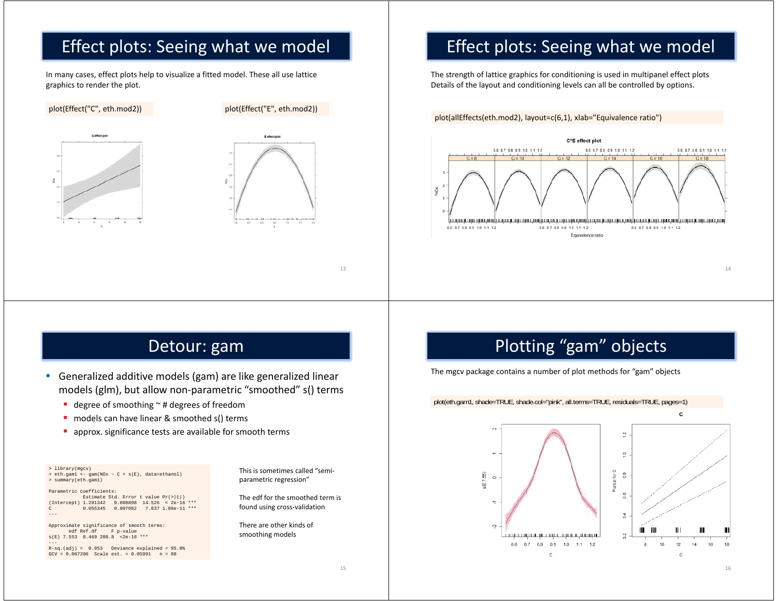# Effect plots: Seeing what we model

In many cases, effect plots help to visualize a fitted model. These all use lattice graphics to render the plot.





## Effect plots: Seeing what we model

The strength of lattice graphics for conditioning is used in multipanel effect plots Details of the layout and conditioning levels can all be controlled by options.

plot(allEffects(eth.mod2), layout=c(6,1), xlab="Equivalence ratio")



14

### Detour: gam

- $\bullet$  Generalized additive models (gam) are like generalized linear models (glm), but allow non-parametric "smoothed" s() terms
	- degree of smoothing  $\sim$  # degrees of freedom
	- models can have linear & smoothed s() terms
	- $\mathbf{u}$  . approx. significance tests are available for smooth terms

> library(mgcv) > eth.gam1 <- gam(NOx ~ C + s(E), data=ethanol)

> summary(eth.gam1) Parametric coefficients:

Estimate Std. Error t value Pr(>|t|) (Intercept) 1.291342 0.088898 14.526 < 2e-16 \*\*\* C 0.055345 0.007062 7.837 1.88e-11 \*\*\*

Approximate significance of smooth terms: edf Ref.df F p-value s(E) 7.553 8.469 208.8 <2e-16 \*\*\*

 $R-sq.(adj) = 0.953$  Deviance explained =  $95.8%$ GCV = 0.067206 Scale est. = 0.05991 n = 88

This is sometimes called "semiparametric regression"

The edf for the smoothed term is found using cross-validation

There are other kinds of smoothing models

# Plotting "gam" objects

The mgcv package contains a number of plot methods for "gam" objects

### plot(eth.gam1, shade=TRUE, shade.col="pink", all.terms=TRUE, residuals=TRUE, pages=1)

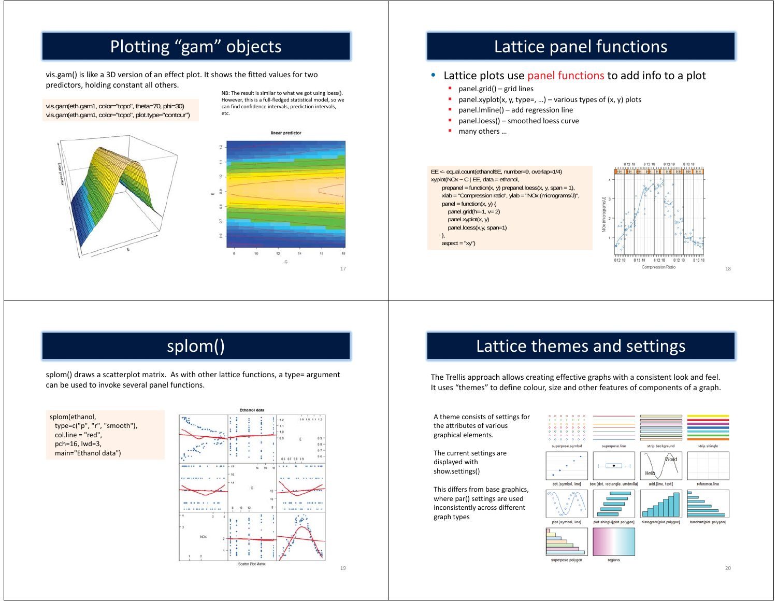# Plotting "gam" objects

vis.gam() is like a 3D version of an effect plot. It shows the fitted values for two predictors, holding constant all others.

vis.gam(eth.gam1, color="topo", theta=70, phi=30) vis.gam(eth.gam1, color="topo", plot.type="contour")



NB: The result is similar to what we got using loess(). However, this is a full-fledged statistical model, so we can find confidence intervals, prediction intervals, etc.



# Lattice panel functions

### • Lattice plots use panel functions to add info to a plot

- ×. panel.grid() – grid lines
- ٠ panel.xyplot(x, y, type=, ...) – various types of  $(x, y)$  plots
- × panel.lmline() – add regression line
- ٠ panel.loess() – smoothed loess curve
- ٠ many others …



## splom()

splom() draws a scatterplot matrix. As with other lattice functions, a type= argument can be used to invoke several panel functions.

splom(ethanol, type=c("p", "r", "smooth"), col.line = "red", pch=16, lwd=3, main="Ethanol data")



# Lattice themes and settings

The Trellis approach allows creating effective graphs with a consistent look and feel. It uses "themes" to define colour, size and other features of components of a graph.

A theme consists of settings for the attributes of various graphical elements.

The current settings are displayed with show.settings()

This differs from base graphics, where par() settings are used inconsistently across different graph types





region

19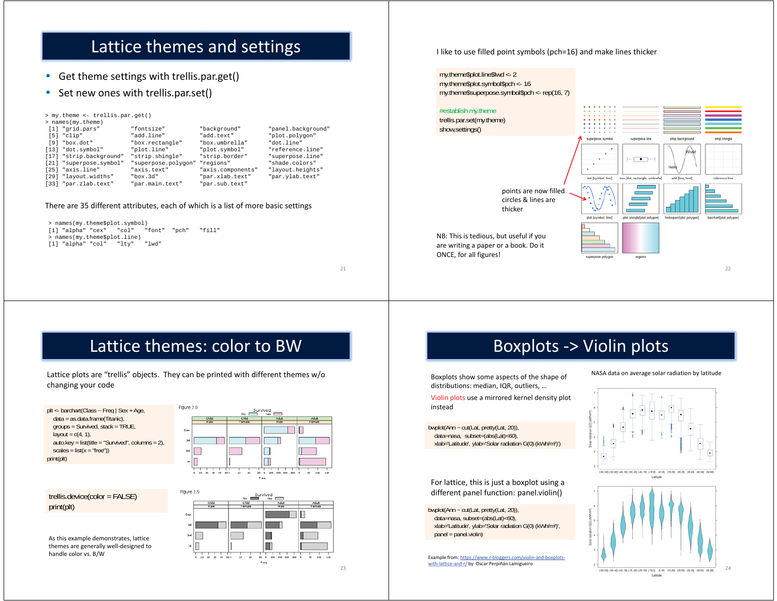# Lattice themes and settings

• Get theme settings with trellis.par.get()

### • Set new ones with trellis.par.set()

| > my.theme <- trellis.par.get() |                     |                   |                    |
|---------------------------------|---------------------|-------------------|--------------------|
| > names (my.theme)              |                     |                   |                    |
| [1] "grid.pars"                 | "fontsize"          | "background"      | "panel.background' |
| $[5]$ "clip"                    | "add.line"          | "add.text"        | "plot.polygon"     |
| [9] "box.dot"                   | "box.rectangle"     | "box.umbrella"    | "dot.line"         |
| $[13]$ "dot.symbol"             | "plot.line"         | "plot.symbol"     | "reference.line"   |
| [17] "strip.background"         | "strip.shingle"     | "strip.border"    | "superpose.line"   |
| [21] "superpose.symbol"         | "superpose.polygon" | "regions"         | "shade.colors"     |
| [25] "axis.line"                | "axis.text"         | "axis.components" | "layout.heights"   |
| [29] "layout.widths"            | "box.3d"            | "par.xlab.text"   | "par.ylab.text"    |
| [33] "par.zlab.text"            | "par.main.text"     | "par.sub.text"    |                    |

#### There are 35 different attributes, each of which is a list of more basic settings

| > names(my.theme\$plot.symbol) |                          |  |  |        |       |       |  |  |
|--------------------------------|--------------------------|--|--|--------|-------|-------|--|--|
|                                | [1] "alpha" "cex"  "col" |  |  | "font" | "pch" | "f11" |  |  |
| > names(my.theme\$plot.line)   |                          |  |  |        |       |       |  |  |
|                                | [1] "alpha" "col"  "ltv" |  |  | " Twd" |       |       |  |  |

21

### I like to use filled point symbols (pch=16) and make lines thicker

my.theme\$plot.line\$lwd <- 2 my.theme\$plot.symbol\$pch <- 16 my.theme\$superpose.symbol\$pch <- rep(16, 7)



Boxplots -> Violin plots

### Lattice themes: color to BW

Lattice plots are "trellis" objects. They can be printed with different themes w/o changing your code

Figure 2.9

plt <- barchart(Class ~ Freq | Sex + Age, data = as.data.frame(Titanic), groups = Survived, stack = TRUE, layout =  $c(4, 1)$ , auto.key = list(title = "Survived", columns = 2),  $scales = list(x = "free")$ print(plt)



Ш  $30 - 0$  200 400

 $20$ Freq

 $500$ 

trellis.device(color = FALSE) print(plt)

As this example demonstrates, lattice themes are generally well-designed to handle color vs. B/W



instead

For lattice, this is just a boxplot using a different panel function: panel.violin()

Boxplots show some aspects of the shape of distributions: median, IQR, outliers, … Violin plots use a mirrored kernel density plot

bwplot(Ann ~ cut(Lat, pretty(Lat, 20)), data=nasa, subset=(abs(Lat)<60), xlab='Latitude', ylab='Solar radiation G(0) (kWh/m²)', panel <sup>=</sup> panel.violin)

Example from: https://www.r-bloggers.com/violin-and-boxplotswith-lattice-and-r/ by Oscar Perpiñán Lamigueiro

#### NASA data on average solar radiation by latitude



Lattude

24